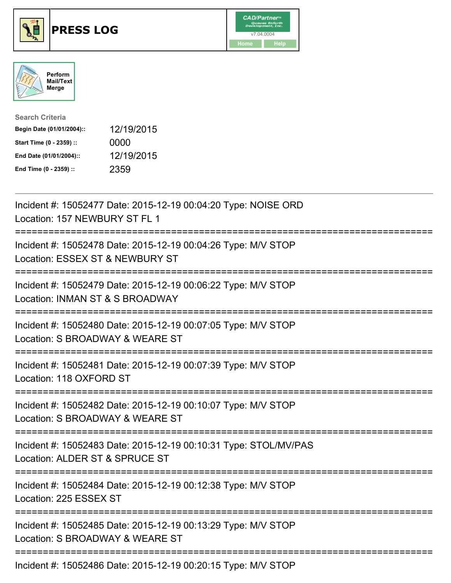





| <b>Search Criteria</b>    |            |
|---------------------------|------------|
| Begin Date (01/01/2004):: | 12/19/2015 |
| Start Time (0 - 2359) ::  | 0000       |
| End Date (01/01/2004)::   | 12/19/2015 |
| End Time (0 - 2359) ::    | 2359       |

| Incident #: 15052477 Date: 2015-12-19 00:04:20 Type: NOISE ORD<br>Location: 157 NEWBURY ST FL 1                                                                                      |
|--------------------------------------------------------------------------------------------------------------------------------------------------------------------------------------|
| Incident #: 15052478 Date: 2015-12-19 00:04:26 Type: M/V STOP<br>Location: ESSEX ST & NEWBURY ST                                                                                     |
| Incident #: 15052479 Date: 2015-12-19 00:06:22 Type: M/V STOP<br>Location: INMAN ST & S BROADWAY<br>:========================                                                        |
| Incident #: 15052480 Date: 2015-12-19 00:07:05 Type: M/V STOP<br>Location: S BROADWAY & WEARE ST                                                                                     |
| Incident #: 15052481 Date: 2015-12-19 00:07:39 Type: M/V STOP<br>Location: 118 OXFORD ST<br>========================                                                                 |
| Incident #: 15052482 Date: 2015-12-19 00:10:07 Type: M/V STOP<br>Location: S BROADWAY & WEARE ST                                                                                     |
| :===========================<br>Incident #: 15052483 Date: 2015-12-19 00:10:31 Type: STOL/MV/PAS<br>Location: ALDER ST & SPRUCE ST<br>==================<br>======================== |
| Incident #: 15052484 Date: 2015-12-19 00:12:38 Type: M/V STOP<br>Location: 225 ESSEX ST                                                                                              |
| Incident #: 15052485 Date: 2015-12-19 00:13:29 Type: M/V STOP<br>Location: S BROADWAY & WEARE ST                                                                                     |
| --------------------------<br>Incident #: 15052486 Date: 2015-12-19 00:20:15 Type: M/V STOP                                                                                          |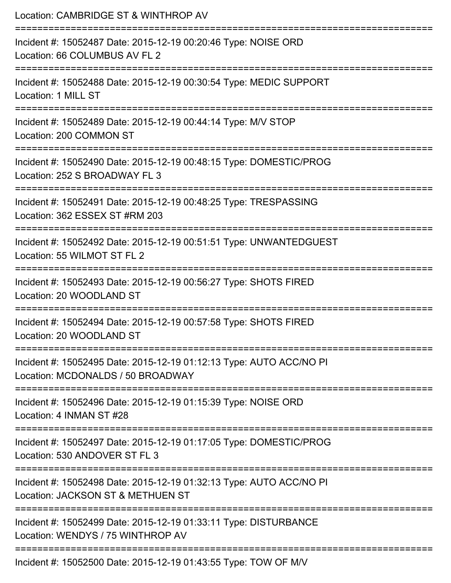| Location: CAMBRIDGE ST & WINTHROP AV<br>:================================                                                             |
|---------------------------------------------------------------------------------------------------------------------------------------|
| Incident #: 15052487 Date: 2015-12-19 00:20:46 Type: NOISE ORD<br>Location: 66 COLUMBUS AV FL 2<br>--------------------<br>---------- |
| Incident #: 15052488 Date: 2015-12-19 00:30:54 Type: MEDIC SUPPORT<br>Location: 1 MILL ST                                             |
| Incident #: 15052489 Date: 2015-12-19 00:44:14 Type: M/V STOP<br>Location: 200 COMMON ST                                              |
| Incident #: 15052490 Date: 2015-12-19 00:48:15 Type: DOMESTIC/PROG<br>Location: 252 S BROADWAY FL 3                                   |
| Incident #: 15052491 Date: 2015-12-19 00:48:25 Type: TRESPASSING<br>Location: 362 ESSEX ST #RM 203                                    |
| Incident #: 15052492 Date: 2015-12-19 00:51:51 Type: UNWANTEDGUEST<br>Location: 55 WILMOT ST FL 2                                     |
| Incident #: 15052493 Date: 2015-12-19 00:56:27 Type: SHOTS FIRED<br>Location: 20 WOODLAND ST                                          |
| Incident #: 15052494 Date: 2015-12-19 00:57:58 Type: SHOTS FIRED<br>Location: 20 WOODLAND ST                                          |
| Incident #: 15052495 Date: 2015-12-19 01:12:13 Type: AUTO ACC/NO PI<br>Location: MCDONALDS / 50 BROADWAY                              |
| Incident #: 15052496 Date: 2015-12-19 01:15:39 Type: NOISE ORD<br>Location: 4 INMAN ST #28                                            |
| Incident #: 15052497 Date: 2015-12-19 01:17:05 Type: DOMESTIC/PROG<br>Location: 530 ANDOVER ST FL 3                                   |
| Incident #: 15052498 Date: 2015-12-19 01:32:13 Type: AUTO ACC/NO PI<br>Location: JACKSON ST & METHUEN ST                              |
| Incident #: 15052499 Date: 2015-12-19 01:33:11 Type: DISTURBANCE<br>Location: WENDYS / 75 WINTHROP AV                                 |
| Incident #: 15052500 Date: 2015-12-19 01:43:55 Type: TOW OF M/V                                                                       |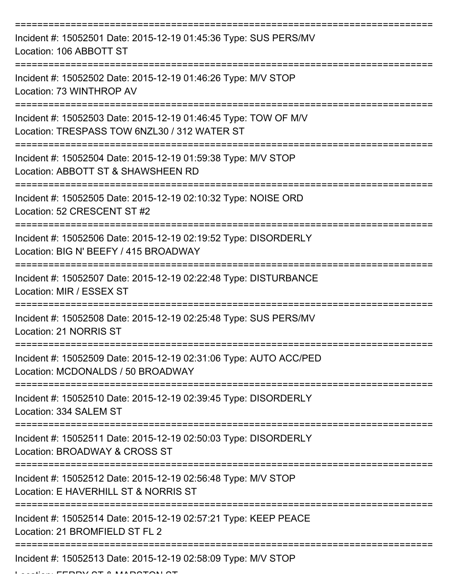| Incident #: 15052501 Date: 2015-12-19 01:45:36 Type: SUS PERS/MV<br>Location: 106 ABBOTT ST                     |
|-----------------------------------------------------------------------------------------------------------------|
| Incident #: 15052502 Date: 2015-12-19 01:46:26 Type: M/V STOP<br>Location: 73 WINTHROP AV                       |
| Incident #: 15052503 Date: 2015-12-19 01:46:45 Type: TOW OF M/V<br>Location: TRESPASS TOW 6NZL30 / 312 WATER ST |
| Incident #: 15052504 Date: 2015-12-19 01:59:38 Type: M/V STOP<br>Location: ABBOTT ST & SHAWSHEEN RD             |
| Incident #: 15052505 Date: 2015-12-19 02:10:32 Type: NOISE ORD<br>Location: 52 CRESCENT ST #2                   |
| Incident #: 15052506 Date: 2015-12-19 02:19:52 Type: DISORDERLY<br>Location: BIG N' BEEFY / 415 BROADWAY        |
| Incident #: 15052507 Date: 2015-12-19 02:22:48 Type: DISTURBANCE<br>Location: MIR / ESSEX ST                    |
| Incident #: 15052508 Date: 2015-12-19 02:25:48 Type: SUS PERS/MV<br>Location: 21 NORRIS ST                      |
| Incident #: 15052509 Date: 2015-12-19 02:31:06 Type: AUTO ACC/PED<br>Location: MCDONALDS / 50 BROADWAY          |
| Incident #: 15052510 Date: 2015-12-19 02:39:45 Type: DISORDERLY<br>Location: 334 SALEM ST                       |
| Incident #: 15052511 Date: 2015-12-19 02:50:03 Type: DISORDERLY<br>Location: BROADWAY & CROSS ST                |
| Incident #: 15052512 Date: 2015-12-19 02:56:48 Type: M/V STOP<br>Location: E HAVERHILL ST & NORRIS ST           |
| Incident #: 15052514 Date: 2015-12-19 02:57:21 Type: KEEP PEACE<br>Location: 21 BROMFIELD ST FL 2               |
| =========================<br>Incident #: 15052513 Date: 2015-12-19 02:58:09 Type: M/V STOP                      |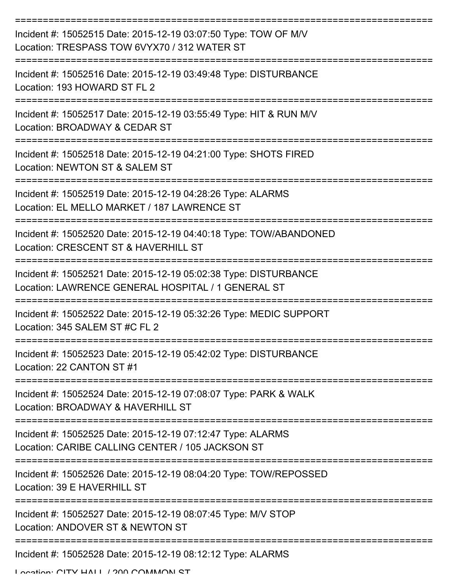| Incident #: 15052515 Date: 2015-12-19 03:07:50 Type: TOW OF M/V<br>Location: TRESPASS TOW 6VYX70 / 312 WATER ST        |
|------------------------------------------------------------------------------------------------------------------------|
| Incident #: 15052516 Date: 2015-12-19 03:49:48 Type: DISTURBANCE<br>Location: 193 HOWARD ST FL 2                       |
| Incident #: 15052517 Date: 2015-12-19 03:55:49 Type: HIT & RUN M/V<br>Location: BROADWAY & CEDAR ST                    |
| Incident #: 15052518 Date: 2015-12-19 04:21:00 Type: SHOTS FIRED<br>Location: NEWTON ST & SALEM ST                     |
| Incident #: 15052519 Date: 2015-12-19 04:28:26 Type: ALARMS<br>Location: EL MELLO MARKET / 187 LAWRENCE ST             |
| Incident #: 15052520 Date: 2015-12-19 04:40:18 Type: TOW/ABANDONED<br>Location: CRESCENT ST & HAVERHILL ST             |
| Incident #: 15052521 Date: 2015-12-19 05:02:38 Type: DISTURBANCE<br>Location: LAWRENCE GENERAL HOSPITAL / 1 GENERAL ST |
| Incident #: 15052522 Date: 2015-12-19 05:32:26 Type: MEDIC SUPPORT<br>Location: 345 SALEM ST #C FL 2                   |
| Incident #: 15052523 Date: 2015-12-19 05:42:02 Type: DISTURBANCE<br>Location: 22 CANTON ST #1                          |
| Incident #: 15052524 Date: 2015-12-19 07:08:07 Type: PARK & WALK<br>Location: BROADWAY & HAVERHILL ST                  |
| Incident #: 15052525 Date: 2015-12-19 07:12:47 Type: ALARMS<br>Location: CARIBE CALLING CENTER / 105 JACKSON ST        |
| Incident #: 15052526 Date: 2015-12-19 08:04:20 Type: TOW/REPOSSED<br>Location: 39 E HAVERHILL ST                       |
| Incident #: 15052527 Date: 2015-12-19 08:07:45 Type: M/V STOP<br>Location: ANDOVER ST & NEWTON ST                      |
| Incident #: 15052528 Date: 2015-12-19 08:12:12 Type: ALARMS                                                            |

Location: CITV HALL / 200 COMMAN ST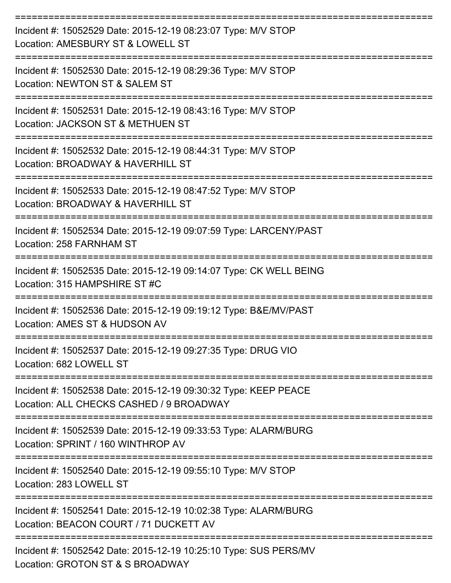| Incident #: 15052529 Date: 2015-12-19 08:23:07 Type: M/V STOP<br>Location: AMESBURY ST & LOWELL ST          |
|-------------------------------------------------------------------------------------------------------------|
| Incident #: 15052530 Date: 2015-12-19 08:29:36 Type: M/V STOP<br>Location: NEWTON ST & SALEM ST             |
| Incident #: 15052531 Date: 2015-12-19 08:43:16 Type: M/V STOP<br>Location: JACKSON ST & METHUEN ST          |
| Incident #: 15052532 Date: 2015-12-19 08:44:31 Type: M/V STOP<br>Location: BROADWAY & HAVERHILL ST          |
| Incident #: 15052533 Date: 2015-12-19 08:47:52 Type: M/V STOP<br>Location: BROADWAY & HAVERHILL ST          |
| Incident #: 15052534 Date: 2015-12-19 09:07:59 Type: LARCENY/PAST<br>Location: 258 FARNHAM ST               |
| Incident #: 15052535 Date: 2015-12-19 09:14:07 Type: CK WELL BEING<br>Location: 315 HAMPSHIRE ST #C         |
| Incident #: 15052536 Date: 2015-12-19 09:19:12 Type: B&E/MV/PAST<br>Location: AMES ST & HUDSON AV           |
| Incident #: 15052537 Date: 2015-12-19 09:27:35 Type: DRUG VIO<br>Location: 682 LOWELL ST                    |
| Incident #: 15052538 Date: 2015-12-19 09:30:32 Type: KEEP PEACE<br>Location: ALL CHECKS CASHED / 9 BROADWAY |
| Incident #: 15052539 Date: 2015-12-19 09:33:53 Type: ALARM/BURG<br>Location: SPRINT / 160 WINTHROP AV       |
| Incident #: 15052540 Date: 2015-12-19 09:55:10 Type: M/V STOP<br>Location: 283 LOWELL ST                    |
| Incident #: 15052541 Date: 2015-12-19 10:02:38 Type: ALARM/BURG<br>Location: BEACON COURT / 71 DUCKETT AV   |
| Incident #: 15052542 Date: 2015-12-19 10:25:10 Type: SUS PERS/MV<br>Location: GROTON ST & S BROADWAY        |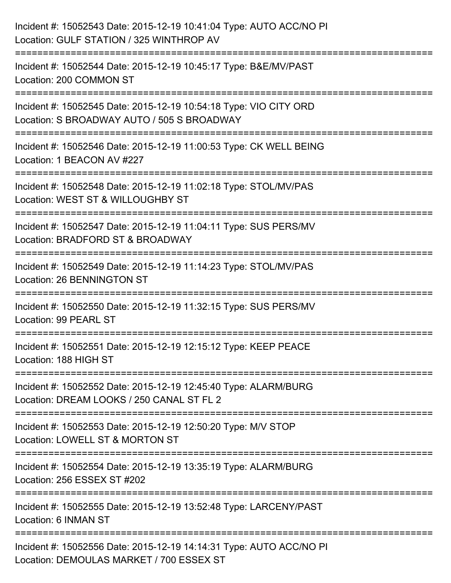| Incident #: 15052543 Date: 2015-12-19 10:41:04 Type: AUTO ACC/NO PI<br>Location: GULF STATION / 325 WINTHROP AV                          |
|------------------------------------------------------------------------------------------------------------------------------------------|
| Incident #: 15052544 Date: 2015-12-19 10:45:17 Type: B&E/MV/PAST<br>Location: 200 COMMON ST                                              |
| Incident #: 15052545 Date: 2015-12-19 10:54:18 Type: VIO CITY ORD<br>Location: S BROADWAY AUTO / 505 S BROADWAY<br>===================== |
| Incident #: 15052546 Date: 2015-12-19 11:00:53 Type: CK WELL BEING<br>Location: 1 BEACON AV #227                                         |
| Incident #: 15052548 Date: 2015-12-19 11:02:18 Type: STOL/MV/PAS<br>Location: WEST ST & WILLOUGHBY ST                                    |
| Incident #: 15052547 Date: 2015-12-19 11:04:11 Type: SUS PERS/MV<br>Location: BRADFORD ST & BROADWAY                                     |
| Incident #: 15052549 Date: 2015-12-19 11:14:23 Type: STOL/MV/PAS<br>Location: 26 BENNINGTON ST                                           |
| Incident #: 15052550 Date: 2015-12-19 11:32:15 Type: SUS PERS/MV<br>Location: 99 PEARL ST                                                |
| Incident #: 15052551 Date: 2015-12-19 12:15:12 Type: KEEP PEACE<br>Location: 188 HIGH ST                                                 |
| Incident #: 15052552 Date: 2015-12-19 12:45:40 Type: ALARM/BURG<br>Location: DREAM LOOKS / 250 CANAL ST FL 2                             |
| Incident #: 15052553 Date: 2015-12-19 12:50:20 Type: M/V STOP<br>Location: LOWELL ST & MORTON ST                                         |
| Incident #: 15052554 Date: 2015-12-19 13:35:19 Type: ALARM/BURG<br>Location: 256 ESSEX ST #202                                           |
| Incident #: 15052555 Date: 2015-12-19 13:52:48 Type: LARCENY/PAST<br>Location: 6 INMAN ST                                                |
| Incident #: 15052556 Date: 2015-12-19 14:14:31 Type: AUTO ACC/NO PI<br>Location: DEMOULAS MARKET / 700 ESSEX ST                          |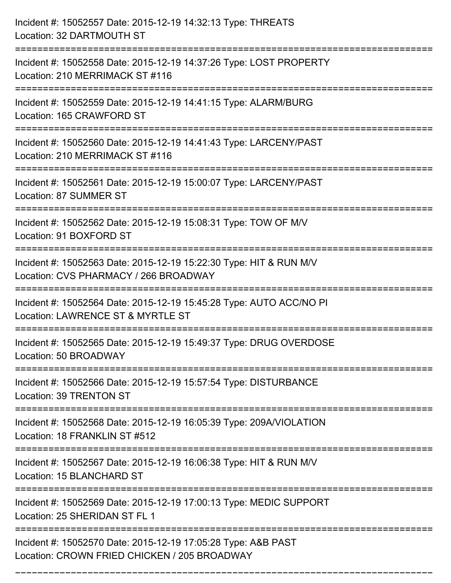| Incident #: 15052557 Date: 2015-12-19 14:32:13 Type: THREATS<br>Location: 32 DARTMOUTH ST                                         |
|-----------------------------------------------------------------------------------------------------------------------------------|
| Incident #: 15052558 Date: 2015-12-19 14:37:26 Type: LOST PROPERTY<br>Location: 210 MERRIMACK ST #116<br>:======================= |
| Incident #: 15052559 Date: 2015-12-19 14:41:15 Type: ALARM/BURG<br>Location: 165 CRAWFORD ST                                      |
| Incident #: 15052560 Date: 2015-12-19 14:41:43 Type: LARCENY/PAST<br>Location: 210 MERRIMACK ST #116<br>=======================   |
| Incident #: 15052561 Date: 2015-12-19 15:00:07 Type: LARCENY/PAST<br>Location: 87 SUMMER ST                                       |
| Incident #: 15052562 Date: 2015-12-19 15:08:31 Type: TOW OF M/V<br>Location: 91 BOXFORD ST                                        |
| Incident #: 15052563 Date: 2015-12-19 15:22:30 Type: HIT & RUN M/V<br>Location: CVS PHARMACY / 266 BROADWAY                       |
| Incident #: 15052564 Date: 2015-12-19 15:45:28 Type: AUTO ACC/NO PI<br>Location: LAWRENCE ST & MYRTLE ST                          |
| Incident #: 15052565 Date: 2015-12-19 15:49:37 Type: DRUG OVERDOSE<br>Location: 50 BROADWAY                                       |
| Incident #: 15052566 Date: 2015-12-19 15:57:54 Type: DISTURBANCE<br>Location: 39 TRENTON ST                                       |
| Incident #: 15052568 Date: 2015-12-19 16:05:39 Type: 209A/VIOLATION<br>Location: 18 FRANKLIN ST #512                              |
| Incident #: 15052567 Date: 2015-12-19 16:06:38 Type: HIT & RUN M/V<br>Location: 15 BLANCHARD ST                                   |
| Incident #: 15052569 Date: 2015-12-19 17:00:13 Type: MEDIC SUPPORT<br>Location: 25 SHERIDAN ST FL 1                               |
| Incident #: 15052570 Date: 2015-12-19 17:05:28 Type: A&B PAST<br>Location: CROWN FRIED CHICKEN / 205 BROADWAY                     |

===========================================================================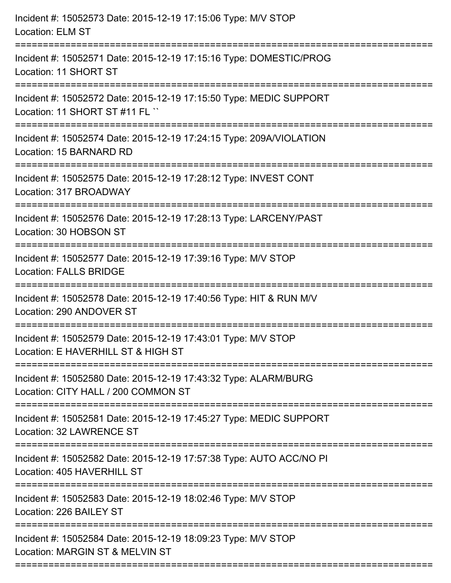| Incident #: 15052573 Date: 2015-12-19 17:15:06 Type: M/V STOP<br><b>Location: ELM ST</b>                                                                  |
|-----------------------------------------------------------------------------------------------------------------------------------------------------------|
| ====================================<br>Incident #: 15052571 Date: 2015-12-19 17:15:16 Type: DOMESTIC/PROG<br>Location: 11 SHORT ST<br>------------------ |
| Incident #: 15052572 Date: 2015-12-19 17:15:50 Type: MEDIC SUPPORT<br>Location: 11 SHORT ST #11 FL ``                                                     |
| Incident #: 15052574 Date: 2015-12-19 17:24:15 Type: 209A/VIOLATION<br>Location: 15 BARNARD RD                                                            |
| Incident #: 15052575 Date: 2015-12-19 17:28:12 Type: INVEST CONT<br>Location: 317 BROADWAY                                                                |
| Incident #: 15052576 Date: 2015-12-19 17:28:13 Type: LARCENY/PAST<br>Location: 30 HOBSON ST                                                               |
| Incident #: 15052577 Date: 2015-12-19 17:39:16 Type: M/V STOP<br><b>Location: FALLS BRIDGE</b>                                                            |
| Incident #: 15052578 Date: 2015-12-19 17:40:56 Type: HIT & RUN M/V<br>Location: 290 ANDOVER ST                                                            |
| Incident #: 15052579 Date: 2015-12-19 17:43:01 Type: M/V STOP<br>Location: E HAVERHILL ST & HIGH ST                                                       |
| Incident #: 15052580 Date: 2015-12-19 17:43:32 Type: ALARM/BURG<br>Location: CITY HALL / 200 COMMON ST                                                    |
| Incident #: 15052581 Date: 2015-12-19 17:45:27 Type: MEDIC SUPPORT<br>Location: 32 LAWRENCE ST                                                            |
| Incident #: 15052582 Date: 2015-12-19 17:57:38 Type: AUTO ACC/NO PI<br>Location: 405 HAVERHILL ST                                                         |
| Incident #: 15052583 Date: 2015-12-19 18:02:46 Type: M/V STOP<br>Location: 226 BAILEY ST                                                                  |
| Incident #: 15052584 Date: 2015-12-19 18:09:23 Type: M/V STOP<br>Location: MARGIN ST & MELVIN ST                                                          |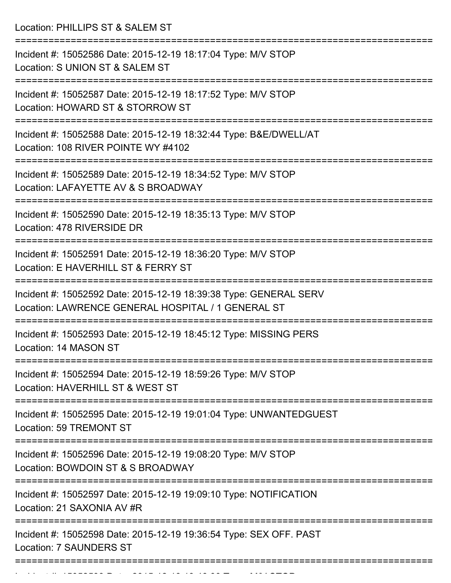Location: PHILLIPS ST & SALEM ST

| Incident #: 15052586 Date: 2015-12-19 18:17:04 Type: M/V STOP<br>Location: S UNION ST & SALEM ST                        |
|-------------------------------------------------------------------------------------------------------------------------|
| Incident #: 15052587 Date: 2015-12-19 18:17:52 Type: M/V STOP<br>Location: HOWARD ST & STORROW ST                       |
| Incident #: 15052588 Date: 2015-12-19 18:32:44 Type: B&E/DWELL/AT<br>Location: 108 RIVER POINTE WY #4102                |
| Incident #: 15052589 Date: 2015-12-19 18:34:52 Type: M/V STOP<br>Location: LAFAYETTE AV & S BROADWAY                    |
| Incident #: 15052590 Date: 2015-12-19 18:35:13 Type: M/V STOP<br>Location: 478 RIVERSIDE DR                             |
| Incident #: 15052591 Date: 2015-12-19 18:36:20 Type: M/V STOP<br>Location: E HAVERHILL ST & FERRY ST                    |
| Incident #: 15052592 Date: 2015-12-19 18:39:38 Type: GENERAL SERV<br>Location: LAWRENCE GENERAL HOSPITAL / 1 GENERAL ST |
| Incident #: 15052593 Date: 2015-12-19 18:45:12 Type: MISSING PERS<br>Location: 14 MASON ST                              |
| Incident #: 15052594 Date: 2015-12-19 18:59:26 Type: M/V STOP<br>Location: HAVERHILL ST & WEST ST                       |
| Incident #: 15052595 Date: 2015-12-19 19:01:04 Type: UNWANTEDGUEST<br>Location: 59 TREMONT ST                           |
| Incident #: 15052596 Date: 2015-12-19 19:08:20 Type: M/V STOP<br>Location: BOWDOIN ST & S BROADWAY                      |
| Incident #: 15052597 Date: 2015-12-19 19:09:10 Type: NOTIFICATION<br>Location: 21 SAXONIA AV #R                         |
| Incident #: 15052598 Date: 2015-12-19 19:36:54 Type: SEX OFF. PAST<br><b>Location: 7 SAUNDERS ST</b>                    |
|                                                                                                                         |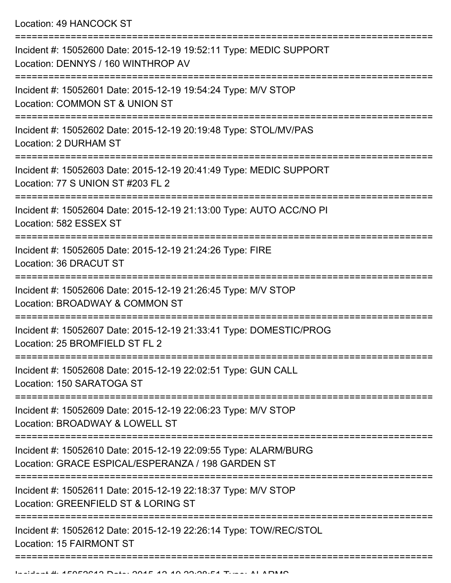Location: 49 HANCOCK ST

| Incident #: 15052600 Date: 2015-12-19 19:52:11 Type: MEDIC SUPPORT<br>Location: DENNYS / 160 WINTHROP AV             |
|----------------------------------------------------------------------------------------------------------------------|
| Incident #: 15052601 Date: 2015-12-19 19:54:24 Type: M/V STOP<br>Location: COMMON ST & UNION ST                      |
| Incident #: 15052602 Date: 2015-12-19 20:19:48 Type: STOL/MV/PAS<br><b>Location: 2 DURHAM ST</b>                     |
| Incident #: 15052603 Date: 2015-12-19 20:41:49 Type: MEDIC SUPPORT<br>Location: 77 S UNION ST #203 FL 2              |
| Incident #: 15052604 Date: 2015-12-19 21:13:00 Type: AUTO ACC/NO PI<br>Location: 582 ESSEX ST                        |
| Incident #: 15052605 Date: 2015-12-19 21:24:26 Type: FIRE<br>Location: 36 DRACUT ST                                  |
| Incident #: 15052606 Date: 2015-12-19 21:26:45 Type: M/V STOP<br>Location: BROADWAY & COMMON ST                      |
| Incident #: 15052607 Date: 2015-12-19 21:33:41 Type: DOMESTIC/PROG<br>Location: 25 BROMFIELD ST FL 2                 |
| Incident #: 15052608 Date: 2015-12-19 22:02:51 Type: GUN CALL<br>Location: 150 SARATOGA ST                           |
| Incident #: 15052609 Date: 2015-12-19 22:06:23 Type: M/V STOP<br>Location: BROADWAY & LOWELL ST                      |
| Incident #: 15052610 Date: 2015-12-19 22:09:55 Type: ALARM/BURG<br>Location: GRACE ESPICAL/ESPERANZA / 198 GARDEN ST |
| Incident #: 15052611 Date: 2015-12-19 22:18:37 Type: M/V STOP<br>Location: GREENFIELD ST & LORING ST                 |
| Incident #: 15052612 Date: 2015-12-19 22:26:14 Type: TOW/REC/STOL<br><b>Location: 15 FAIRMONT ST</b>                 |
|                                                                                                                      |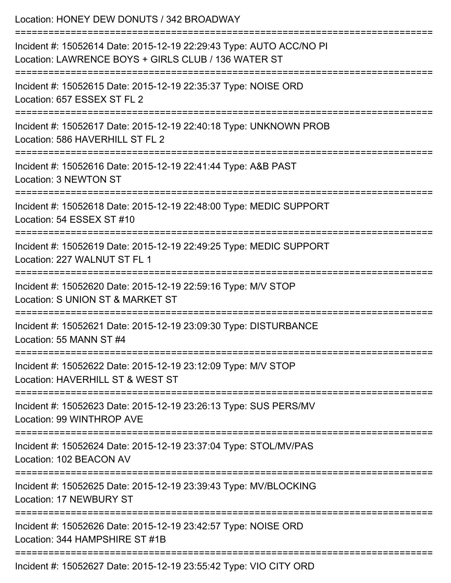| Location: HONEY DEW DONUTS / 342 BROADWAY                                                                                                                      |
|----------------------------------------------------------------------------------------------------------------------------------------------------------------|
| Incident #: 15052614 Date: 2015-12-19 22:29:43 Type: AUTO ACC/NO PI<br>Location: LAWRENCE BOYS + GIRLS CLUB / 136 WATER ST                                     |
| Incident #: 15052615 Date: 2015-12-19 22:35:37 Type: NOISE ORD<br>Location: 657 ESSEX ST FL 2<br>----------------------------------<br>----------------------- |
| Incident #: 15052617 Date: 2015-12-19 22:40:18 Type: UNKNOWN PROB<br>Location: 586 HAVERHILL ST FL 2                                                           |
| Incident #: 15052616 Date: 2015-12-19 22:41:44 Type: A&B PAST<br>Location: 3 NEWTON ST                                                                         |
| Incident #: 15052618 Date: 2015-12-19 22:48:00 Type: MEDIC SUPPORT<br>Location: 54 ESSEX ST #10                                                                |
| Incident #: 15052619 Date: 2015-12-19 22:49:25 Type: MEDIC SUPPORT<br>Location: 227 WALNUT ST FL 1                                                             |
| Incident #: 15052620 Date: 2015-12-19 22:59:16 Type: M/V STOP<br>Location: S UNION ST & MARKET ST                                                              |
| Incident #: 15052621 Date: 2015-12-19 23:09:30 Type: DISTURBANCE<br>Location: 55 MANN ST #4                                                                    |
| Incident #: 15052622 Date: 2015-12-19 23:12:09 Type: M/V STOP<br>Location: HAVERHILL ST & WEST ST                                                              |
| Incident #: 15052623 Date: 2015-12-19 23:26:13 Type: SUS PERS/MV<br>Location: 99 WINTHROP AVE                                                                  |
| Incident #: 15052624 Date: 2015-12-19 23:37:04 Type: STOL/MV/PAS<br>Location: 102 BEACON AV                                                                    |
| Incident #: 15052625 Date: 2015-12-19 23:39:43 Type: MV/BLOCKING<br><b>Location: 17 NEWBURY ST</b>                                                             |
| Incident #: 15052626 Date: 2015-12-19 23:42:57 Type: NOISE ORD<br>Location: 344 HAMPSHIRE ST #1B                                                               |
|                                                                                                                                                                |

Incident #: 15052627 Date: 2015-12-19 23:55:42 Type: VIO CITY ORD